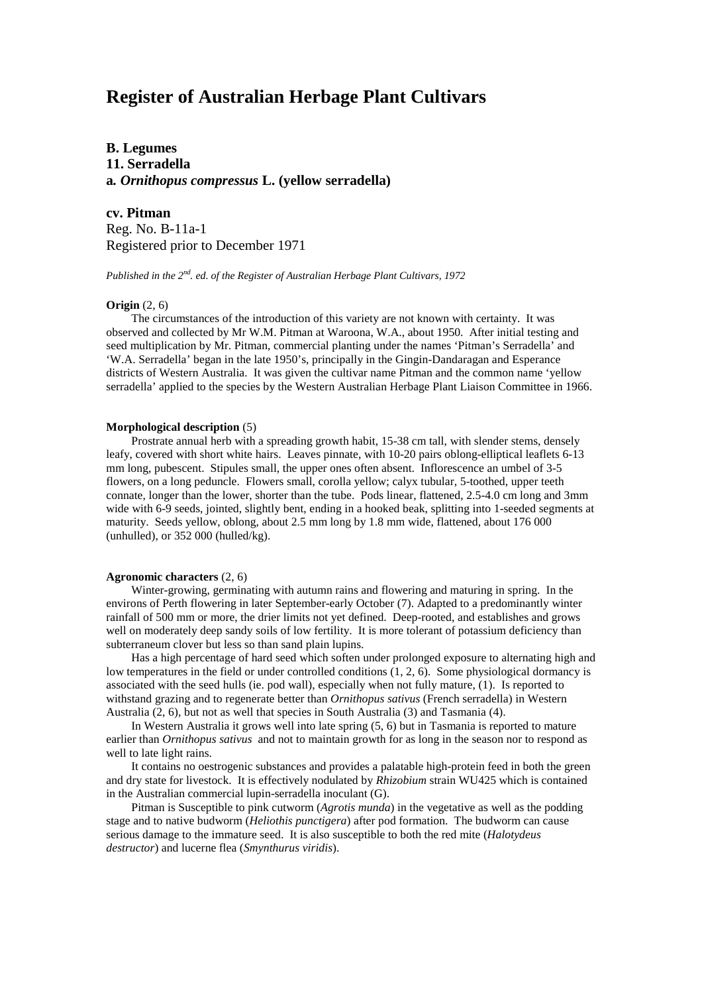# **Register of Australian Herbage Plant Cultivars**

**B. Legumes 11. Serradella a***. Ornithopus compressus* **L. (yellow serradella)**

**cv. Pitman** Reg. No. B-11a-1 Registered prior to December 1971

*Published in the 2nd. ed. of the Register of Australian Herbage Plant Cultivars, 1972*

# **Origin** (2, 6)

The circumstances of the introduction of this variety are not known with certainty. It was observed and collected by Mr W.M. Pitman at Waroona, W.A., about 1950. After initial testing and seed multiplication by Mr. Pitman, commercial planting under the names 'Pitman's Serradella' and 'W.A. Serradella' began in the late 1950's, principally in the Gingin-Dandaragan and Esperance districts of Western Australia. It was given the cultivar name Pitman and the common name 'yellow serradella' applied to the species by the Western Australian Herbage Plant Liaison Committee in 1966.

#### **Morphological description** (5)

Prostrate annual herb with a spreading growth habit, 15-38 cm tall, with slender stems, densely leafy, covered with short white hairs. Leaves pinnate, with 10-20 pairs oblong-elliptical leaflets 6-13 mm long, pubescent. Stipules small, the upper ones often absent. Inflorescence an umbel of 3-5 flowers, on a long peduncle. Flowers small, corolla yellow; calyx tubular, 5-toothed, upper teeth connate, longer than the lower, shorter than the tube. Pods linear, flattened, 2.5-4.0 cm long and 3mm wide with 6-9 seeds, jointed, slightly bent, ending in a hooked beak, splitting into 1-seeded segments at maturity. Seeds yellow, oblong, about 2.5 mm long by 1.8 mm wide, flattened, about 176 000 (unhulled), or 352 000 (hulled/kg).

### **Agronomic characters** (2, 6)

Winter-growing, germinating with autumn rains and flowering and maturing in spring. In the environs of Perth flowering in later September-early October (7). Adapted to a predominantly winter rainfall of 500 mm or more, the drier limits not yet defined. Deep-rooted, and establishes and grows well on moderately deep sandy soils of low fertility. It is more tolerant of potassium deficiency than subterraneum clover but less so than sand plain lupins.

Has a high percentage of hard seed which soften under prolonged exposure to alternating high and low temperatures in the field or under controlled conditions (1, 2, 6). Some physiological dormancy is associated with the seed hulls (ie. pod wall), especially when not fully mature, (1). Is reported to withstand grazing and to regenerate better than *Ornithopus sativus* (French serradella) in Western Australia (2, 6), but not as well that species in South Australia (3) and Tasmania (4).

In Western Australia it grows well into late spring (5, 6) but in Tasmania is reported to mature earlier than *Ornithopus sativus* and not to maintain growth for as long in the season nor to respond as well to late light rains.

It contains no oestrogenic substances and provides a palatable high-protein feed in both the green and dry state for livestock. It is effectively nodulated by *Rhizobium* strain WU425 which is contained in the Australian commercial lupin-serradella inoculant (G).

Pitman is Susceptible to pink cutworm (*Agrotis munda*) in the vegetative as well as the podding stage and to native budworm (*Heliothis punctigera*) after pod formation. The budworm can cause serious damage to the immature seed. It is also susceptible to both the red mite (*Halotydeus destructor*) and lucerne flea (*Smynthurus viridis*).